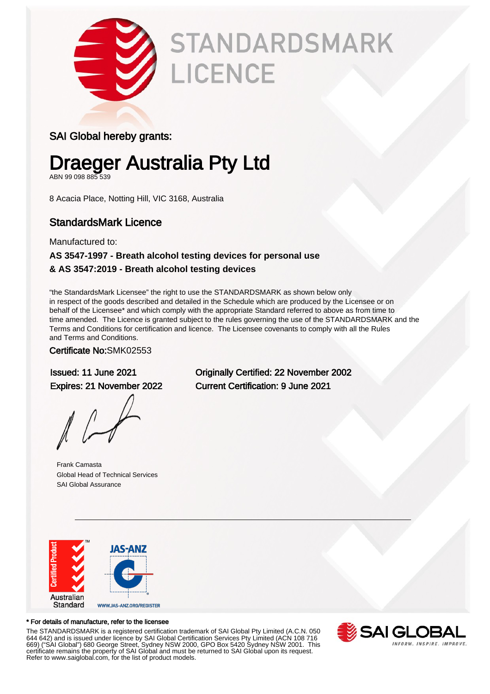

# **STANDARDSMARK** LICENCE

### SAI Global hereby grants:

## Draeger Australia Pty Ltd

ABN 99 098 885 539

8 Acacia Place, Notting Hill, VIC 3168, Australia

### StandardsMark Licence

Manufactured to:

#### **AS 3547-1997 - Breath alcohol testing devices for personal use & AS 3547:2019 - Breath alcohol testing devices**

"the StandardsMark Licensee" the right to use the STANDARDSMARK as shown below only in respect of the goods described and detailed in the Schedule which are produced by the Licensee or on behalf of the Licensee\* and which comply with the appropriate Standard referred to above as from time to time amended. The Licence is granted subject to the rules governing the use of the STANDARDSMARK and the Terms and Conditions for certification and licence. The Licensee covenants to comply with all the Rules and Terms and Conditions.

#### Certificate No:SMK02553

Frank Camasta Global Head of Technical Services SAI Global Assurance

Issued: 11 June 2021 Originally Certified: 22 November 2002 Expires: 21 November 2022 Current Certification: 9 June 2021



#### \* For details of manufacture, refer to the licensee

The STANDARDSMARK is a registered certification trademark of SAI Global Pty Limited (A.C.N. 050 644 642) and is issued under licence by SAI Global Certification Services Pty Limited (ACN 108 716 669) ("SAI Global") 680 George Street, Sydney NSW 2000, GPO Box 5420 Sydney NSW 2001. This certificate remains the property of SAI Global and must be returned to SAI Global upon its request. Refer to www.saiglobal.com, for the list of product models.

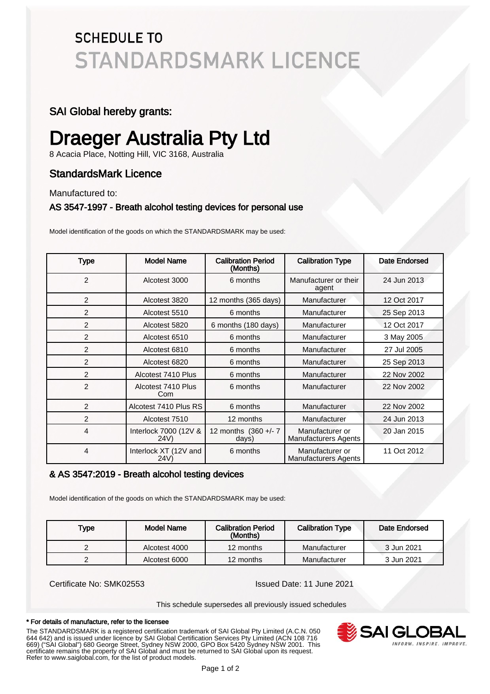### **SCHEDULE TO STANDARDSMARK LICENCE**

#### SAI Global hereby grants:

### Draeger Australia Pty Ltd

8 Acacia Place, Notting Hill, VIC 3168, Australia

### StandardsMark Licence

Manufactured to:

#### AS 3547-1997 - Breath alcohol testing devices for personal use

Model identification of the goods on which the STANDARDSMARK may be used:

| <b>Type</b>    | <b>Model Name</b>             | <b>Calibration Period</b><br>(Months) | <b>Calibration Type</b>                        | Date Endorsed |
|----------------|-------------------------------|---------------------------------------|------------------------------------------------|---------------|
| $\overline{2}$ | Alcotest 3000                 | 6 months                              | Manufacturer or their<br>agent                 | 24 Jun 2013   |
| 2              | Alcotest 3820                 | 12 months (365 days)                  | Manufacturer                                   | 12 Oct 2017   |
| 2              | Alcotest 5510                 | 6 months                              | Manufacturer                                   | 25 Sep 2013   |
| 2              | Alcotest 5820                 | 6 months (180 days)                   | Manufacturer                                   | 12 Oct 2017   |
| 2              | Alcotest 6510                 | 6 months                              | Manufacturer                                   | 3 May 2005    |
| 2              | Alcotest 6810                 | 6 months                              | Manufacturer                                   | 27 Jul 2005   |
| 2              | Alcotest 6820                 | 6 months                              | Manufacturer                                   | 25 Sep 2013   |
| 2              | Alcotest 7410 Plus            | 6 months                              | Manufacturer                                   | 22 Nov 2002   |
| $\overline{2}$ | Alcotest 7410 Plus<br>Com     | 6 months                              | Manufacturer                                   | 22 Nov 2002   |
| 2              | Alcotest 7410 Plus RS         | 6 months                              | Manufacturer                                   | 22 Nov 2002   |
| $\overline{2}$ | Alcotest 7510                 | 12 months                             | Manufacturer                                   | 24 Jun 2013   |
| 4              | Interlock 7000 (12V &<br>24V) | 12 months (360 +/- 7<br>days)         | Manufacturer or<br><b>Manufacturers Agents</b> | 20 Jan 2015   |
| 4              | Interlock XT (12V and<br>24V) | 6 months                              | Manufacturer or<br><b>Manufacturers Agents</b> | 11 Oct 2012   |

#### & AS 3547:2019 - Breath alcohol testing devices

Model identification of the goods on which the STANDARDSMARK may be used:

| Type | Model Name    | <b>Calibration Period</b><br>(Months) | <b>Calibration Type</b> | Date Endorsed |
|------|---------------|---------------------------------------|-------------------------|---------------|
|      | Alcotest 4000 | 12 months                             | Manufacturer            | 3 Jun 2021    |
|      | Alcotest 6000 | 12 months                             | Manufacturer            | 3 Jun 2021    |

Certificate No: SMK02553 Issued Date: 11 June 2021

This schedule supersedes all previously issued schedules

#### \* For details of manufacture, refer to the licensee

The STANDARDSMARK is a registered certification trademark of SAI Global Pty Limited (A.C.N. 050 644 642) and is issued under licence by SAI Global Certification Services Pty Limited (ACN 108 716 669) ("SAI Global") 680 George Street, Sydney NSW 2000, GPO Box 5420 Sydney NSW 2001. This certificate remains the property of SAI Global and must be returned to SAI Global upon its request. Refer to www.saiglobal.com, for the list of product models.